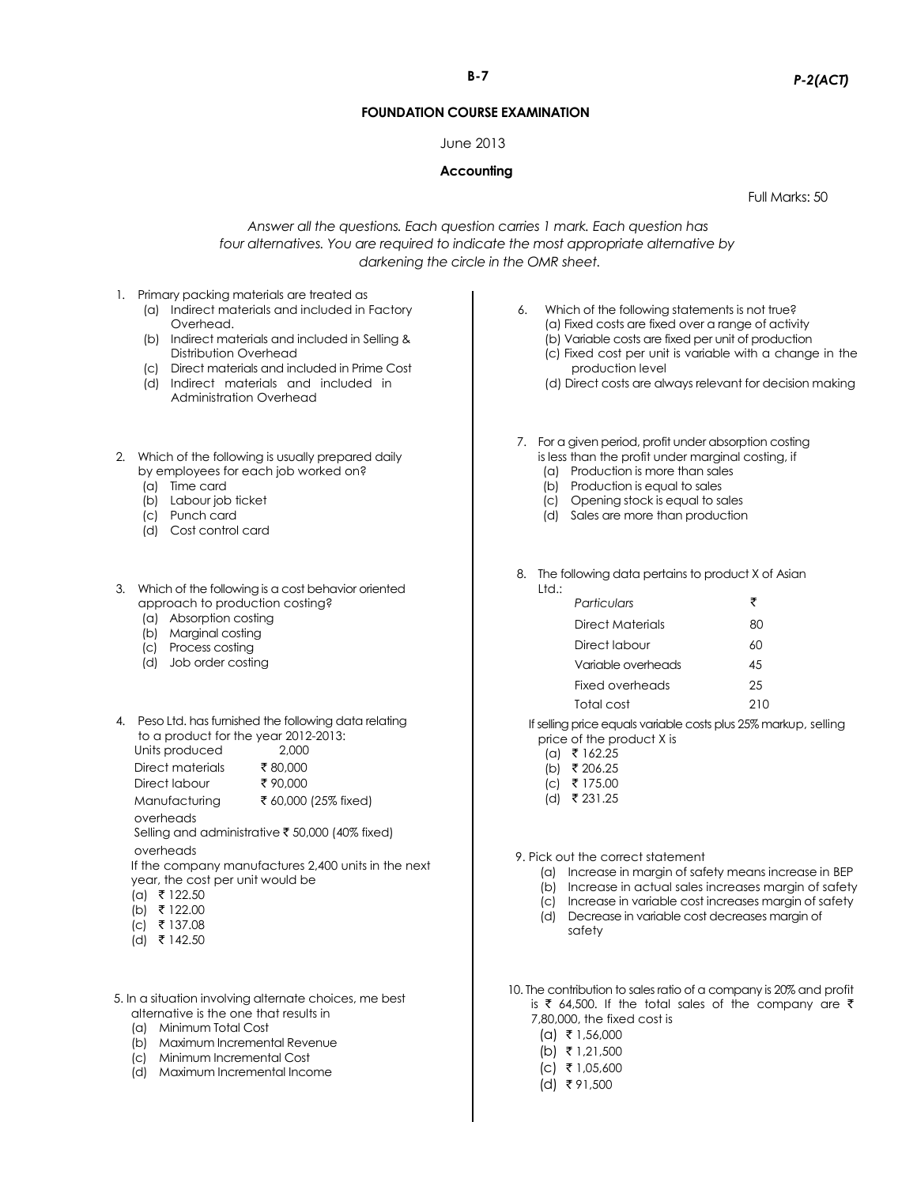# **B-7** *P-2(ACT)*

#### **FOUNDATION COURSE EXAMINATION**

#### June 2013

### **Accounting**

Full Marks: 50

## *Answer all the questions. Each question carries 1 mark. Each question has four alternatives. You are required to indicate the most appropriate alternative by darkening the circle in the OMR sheet.*

- 1. Primary packing materials are treated as
	- (a) Indirect materials and included in Factory Overhead.
	- (b) Indirect materials and included in Selling & Distribution Overhead
	- (c) Direct materials and included in Prime Cost
	- (d) Indirect materials and included in Administration Overhead
- 2. Which of the following is usually prepared daily by employees for each job worked on?
	- (a) Time card
	- (b) Labour job ticket
	- (c) Punch card
	- (d) Cost control card
- 3. Which of the following is a cost behavior oriented approach to production costing?
	- (a) Absorption costing
	- (b) Marginal costing
	- (c) Process costing
	- (d) Job order costing
- 4. Peso Ltd. has furnished the following data relating to a product for the year 2012-2013:<br>Units produced Units produced 2,000

| <b>OLINS MUUUUUU</b> | L.UUU                |
|----------------------|----------------------|
| Direct materials     | ₹80,000              |
| Direct labour        | ₹90.000              |
| Manufacturing        | ₹ 60,000 (25% fixed) |
| overheads            |                      |

Selling and administrative  $\bar{\bar{\bar{\bar{z}}}}$  50,000 (40% fixed) overheads

If the company manufactures 2,400 units in the next year, the cost per unit would be

- $(a)$  ₹ 122.50
- (b) ` 122.00
- $(c)$  ₹ 137.08
- (d) ₹ 142.50
- 5. In a situation involving alternate choices, me best alternative is the one that results in
	- (a) Minimum Total Cost
	- (b) Maximum Incremental Revenue
	- (c) Minimum Incremental Cost
	- (d) Maximum Incremental Income
- 6. Which of the following statements is not true? (a) Fixed costs are fixed over a range of activity (b) Variable costs are fixed per unit of production
	- (c) Fixed cost per unit is variable with a change in the production level
	- (d) Direct costs are always relevant for decision making
- 7. For a given period, profit under absorption costing is less than the profit under marginal costing, if
	- (a) Production is more than sales
	- (b) Production is equal to sales
	- (c) Opening stock is equal to sales
	- (d) Sales are more than production
- 8. The following data pertains to product X of Asian Ltd.:

| Particulars        |     |
|--------------------|-----|
| Direct Materials   | 80  |
| Direct Iabour      | ሐበ  |
| Variable overheads | 45  |
| Fixed overheads    | 25  |
| Total cost         | 210 |
|                    |     |

 If selling price equals variable costs plus 25% markup, selling price of the product X is

- $(a)$  ₹ 162.25
- $(b)$  ₹ 206.25
- $(c)$  ₹ 175.00
- (d) ₹ 231.25
- 9. Pick out the correct statement
	- (a) Increase in margin of safety means increase in BEP
	- (b) Increase in actual sales increases margin of safety
	- (c) Increase in variable cost increases margin of safety
	- (d) Decrease in variable cost decreases margin of safety

10. The contribution to sales ratio of a company is 20% and profit is  $\bar{\tau}$  64,500. If the total sales of the company are  $\bar{\tau}$ 7,80,000, the fixed cost is

- $(a)$  ₹ 1,56,000
- $(b)$  ₹ 1,21,500
- $|C|$   $\bar{\bar{\tau}}$  1,05,600
- $(d)$  ₹ 91,500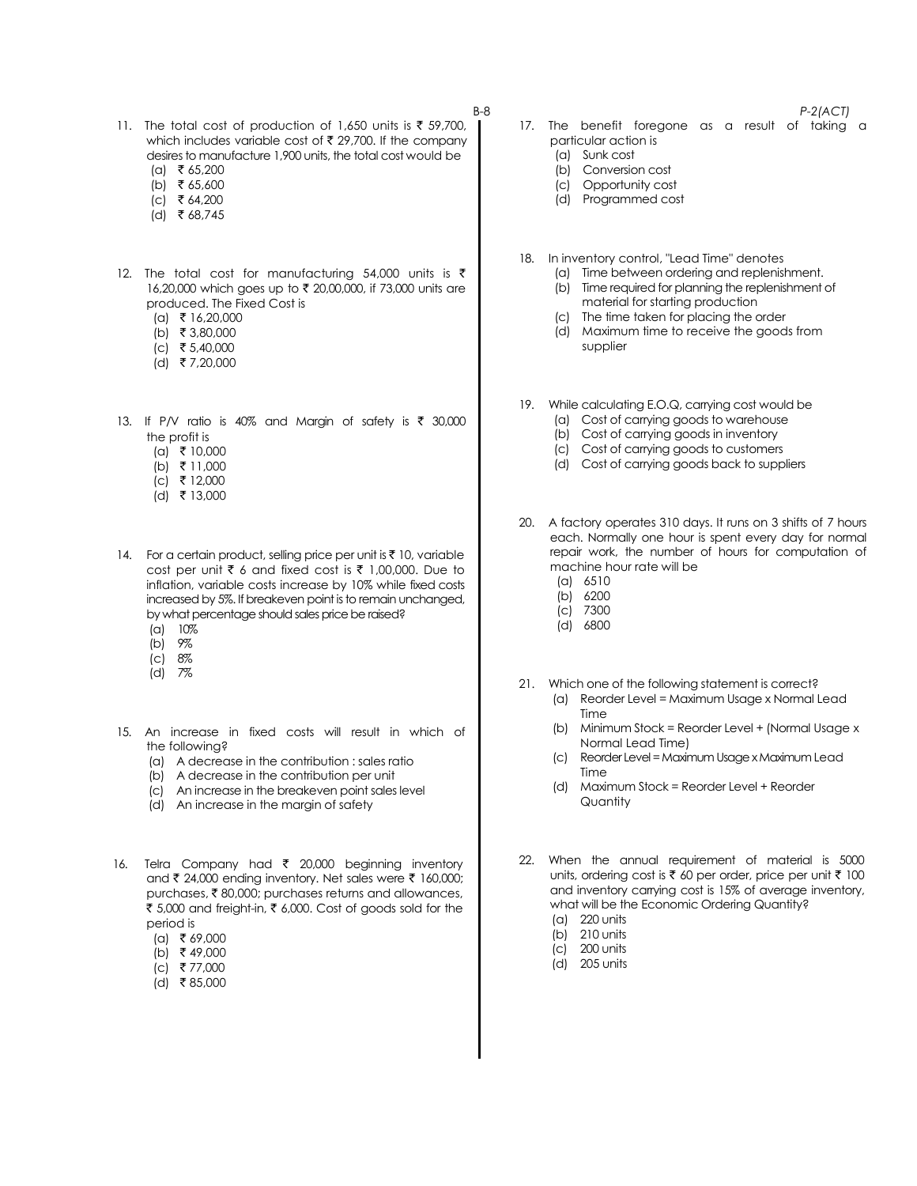- 11. The total cost of production of 1,650 units is  $\bar{\tau}$  59,700, which includes variable cost of  $\bar{\tau}$  29,700. If the company desires to manufacture 1,900 units, the total cost would be
	- $(a)$  ₹ 65,200
	- (b) ₹ 65,600
	- $|c|$  ₹ 64,200
	- $(d)$  ₹ 68,745
- 12. The total cost for manufacturing 54,000 units is  $\bar{\tau}$ 16,20,000 which goes up to ₹ 20,00,000, if 73,000 units are produced. The Fixed Cost is
	- $(a)$  ₹ 16,20,000
	- (b) ₹ 3,80,000
	- $(c)$  ₹ 5,40,000
	- (d) ` 7,20,000
- 13. If P/V ratio is 40% and Margin of safety is  $\bar{\tau}$  30,000 the profit is
	- $(a)$  ₹ 10,000
	- (b) ₹ 11,000
	- $(c)$  ₹ 12,000
	- (d) ₹ 13,000
- 14. For a certain product, selling price per unit is  $\bar{\tau}$  10, variable cost per unit  $\bar{\tau}$  6 and fixed cost is  $\bar{\tau}$  1,00,000. Due to inflation, variable costs increase by 10% while fixed costs increased by 5%. If breakeven point is to remain unchanged, by what percentage should sales price be raised?
	- (a) 10%
	- (b) 9%
	- (c) 8% (d) 7%
	-
- 15. An increase in fixed costs will result in which of the following?
	- (a) A decrease in the contribution : sales ratio
	- (b) A decrease in the contribution per unit
	- (c) An increase in the breakeven point sales level
	- (d) An increase in the margin of safety
- 16. Telra Company had  $\bar{\tau}$  20,000 beginning inventory and ₹ 24,000 ending inventory. Net sales were ₹ 160,000; purchases, ₹80,000; purchases returns and allowances, ₹ 5,000 and freight-in, ₹ 6,000. Cost of goods sold for the period is
	- $(a)$  ₹ 69,000
	- (b) ₹ 49,000
	- $(c)$  ₹ 77,000
	- $(d)$  ₹85,000
- 
- B-8 *P-2(ACT)* 17. The benefit foregone as a result of taking a particular action is
	- (a) Sunk cost
	- (b) Conversion cost
	- (c) Opportunity cost
	- (d) Programmed cost
	- 18. In inventory control, "Lead Time" denotes
		- (a) Time between ordering and replenishment.
			- (b) Time required for planning the replenishment of material for starting production
			- (c) The time taken for placing the order
			- (d) Maximum time to receive the goods from supplier
	- 19. While calculating E.O.Q, carrying cost would be
		- (a) Cost of carrying goods to warehouse
		- (b) Cost of carrying goods in inventory
		- (c) Cost of carrying goods to customers
		- (d) Cost of carrying goods back to suppliers
	- 20. A factory operates 310 days. It runs on 3 shifts of 7 hours each. Normally one hour is spent every day for normal repair work, the number of hours for computation of machine hour rate will be
		- (a) 6510
		- (b) 6200
		- (c) 7300
		- (d) 6800
	- 21. Which one of the following statement is correct?
		- (a) Reorder Level = Maximum Usage x Normal Lead Time
		- (b) Minimum Stock = Reorder Level + (Normal Usage x Normal Lead Time)
		- (c) Reorder Level = Maximum Usage x Maximum Lead Time
		- (d) Maximum Stock = Reorder Level + Reorder **Quantity**
	- 22. When the annual requirement of material is 5000 units, ordering cost is  $\bar{\tau}$  60 per order, price per unit  $\bar{\tau}$  100 and inventory carrying cost is 15% of average inventory, what will be the Economic Ordering Quantity?
		- (a) 220 units
		- (b) 210 units
		- (c) 200 units
		- (d) 205 units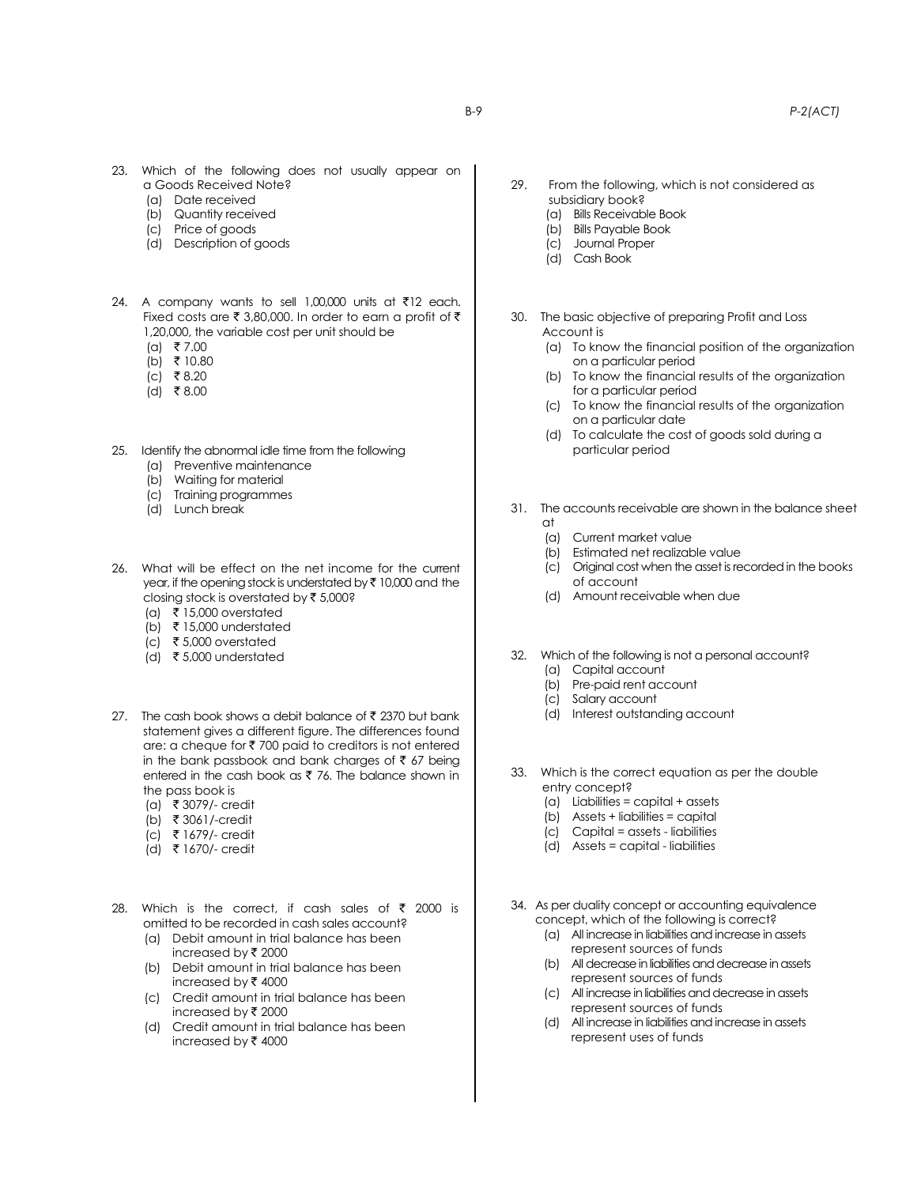- 23. Which of the following does not usually appear on a Goods Received Note?
	- (a) Date received
	- (b) Quantity received
	- (c) Price of goods
	- (d) Description of goods
- 24. A company wants to sell 1,00,000 units at  $\bar{\tau}$ 12 each. Fixed costs are  $\bar{\tau}$  3,80,000. In order to earn a profit of  $\bar{\tau}$ 1,20,000, the variable cost per unit should be
	- $(a)$  ₹7.00
	- $(b)$  ₹ 10.80
	- $(c)$  ₹8.20
	- $(d)$  ₹8.00
- 25. Identify the abnormal idle time from the following
	- (a) Preventive maintenance
	- (b) Waiting for material
	- (c) Training programmes
	- (d) Lunch break
- 26. What will be effect on the net income for the current year, if the opening stock is understated by  $\bar{\tau}$  10,000 and the closing stock is overstated by  $\bar{\tau}$  5,000?
	- (a) ₹ 15,000 overstated
	- (b)  $\bar{\tau}$  15,000 understated
	- (c) ₹ 5,000 overstated
	- (d)  $\bar{\tau}$  5,000 understated
- 27. The cash book shows a debit balance of ₹ 2370 but bank statement gives a different figure. The differences found are: a cheque for  $\bar{\tau}$  700 paid to creditors is not entered in the bank passbook and bank charges of  $\bar{z}$  67 being entered in the cash book as  $\bar{\tau}$  76. The balance shown in the pass book is
	- (a) ₹ 3079/- credit
	- (b) ` 3061/-credit
	- (c) ` 1679/- credit
	- (d) ` 1670/- credit
- 28. Which is the correct, if cash sales of  $\bar{\tau}$  2000 is omitted to be recorded in cash sales account?
	- (a) Debit amount in trial balance has been increased by  $\bar{\tau}$  2000
	- (b) Debit amount in trial balance has been increased by  $\bar{\tau}$  4000
	- (c) Credit amount in trial balance has been increased by  $\bar{\tau}$  2000
	- (d) Credit amount in trial balance has been increased by  $\bar{\tau}$  4000
- 29. From the following, which is not considered as subsidiary book?
	- (a) Bills Receivable Book
	- (b) Bills Payable Book
	- (c) Journal Proper
	- (d) Cash Book
- 30. The basic objective of preparing Profit and Loss Account is
	- (a) To know the financial position of the organization on a particular period
	- (b) To know the financial results of the organization for a particular period
	- (c) To know the financial results of the organization on a particular date
	- (d) To calculate the cost of goods sold during a particular period
- 31. The accounts receivable are shown in the balance sheet at
	- (a) Current market value
	- (b) Estimated net realizable value
	- (c) Original cost when the asset is recorded in the books of account
	- (d) Amount receivable when due
- 32. Which of the following is not a personal account?
	- (a) Capital account
	- (b) Pre-paid rent account
	- (c) Salary account
	- (d) Interest outstanding account
- 33. Which is the correct equation as per the double entry concept?
	- (a) Liabilities = capital + assets
	- (b) Assets + liabilities = capital
	- (c) Capital = assets liabilities
	- (d) Assets = capital liabilities
- 34. As per duality concept or accounting equivalence concept, which of the following is correct?
	- (a) All increase in liabilities and increase in assets represent sources of funds
	- (b) All decrease in liabilities and decrease in assets represent sources of funds
	- (c) All increase in liabilities and decrease in assets represent sources of funds
	- (d) All increase in liabilities and increase in assets represent uses of funds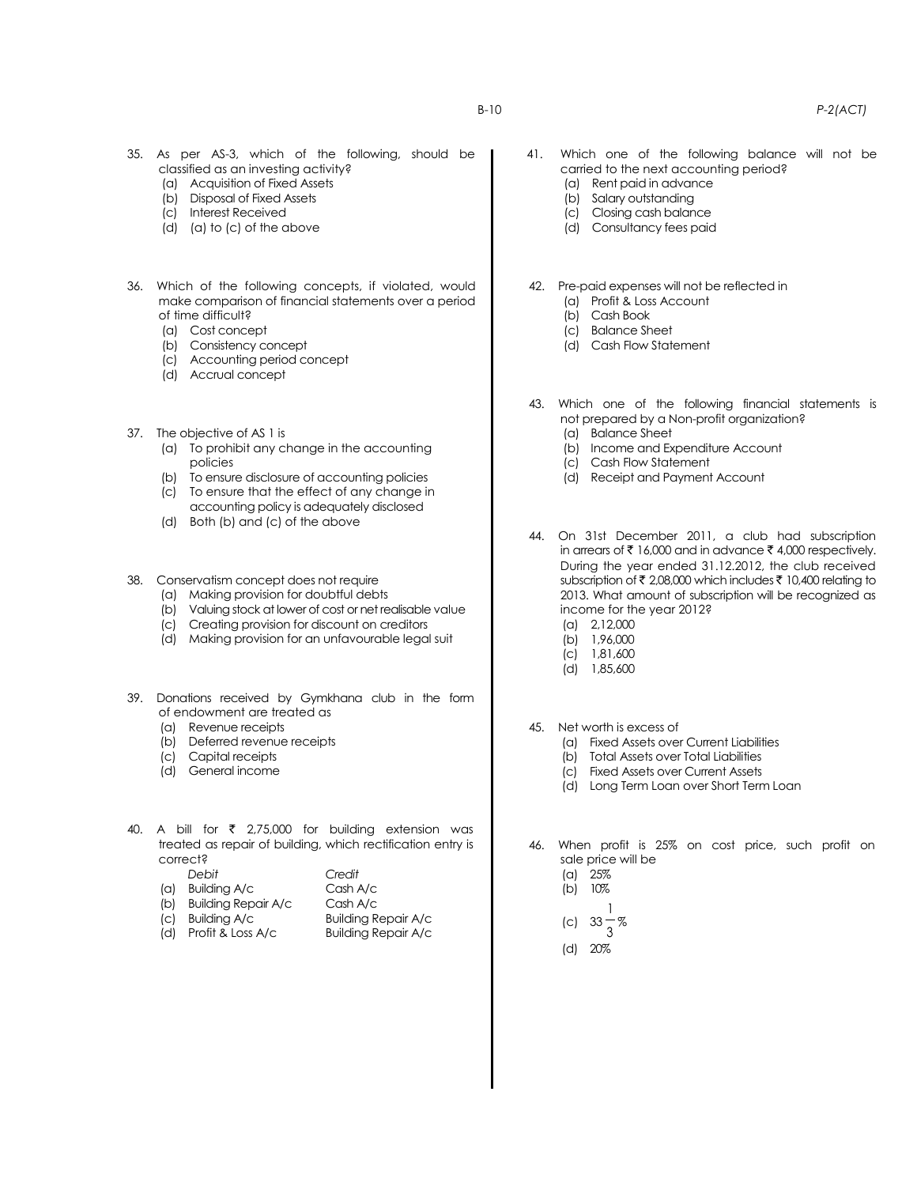- (a) Acquisition of Fixed Assets
- (b) Disposal of Fixed Assets
- (c) Interest Received
- (d) (a) to (c) of the above
- 36. Which of the following concepts, if violated, would make comparison of financial statements over a period of time difficult?
	- (a) Cost concept
	- (b) Consistency concept
	- (c) Accounting period concept
	- (d) Accrual concept
- 37. The objective of AS 1 is
	- (a) To prohibit any change in the accounting policies
	- (b) To ensure disclosure of accounting policies
	- (c) To ensure that the effect of any change in accounting policy is adequately disclosed
	- (d) Both (b) and (c) of the above
- 38. Conservatism concept does not require
	- (a) Making provision for doubtful debts
	- (b) Valuing stock at lower of cost or net realisable value
	- (c) Creating provision for discount on creditors
	- (d) Making provision for an unfavourable legal suit
- 39. Donations received by Gymkhana club in the form of endowment are treated as
	- (a) Revenue receipts
	- (b) Deferred revenue receipts
	- (c) Capital receipts
	- (d) General income
- 40. A bill for  $\bar{\tau}$  2,75,000 for building extension was treated as repair of building, which rectification entry is correct?

| Debit                   | Credit   |
|-------------------------|----------|
| $(a)$ Building A/c      | Cash A/c |
| (b) Building Repair A/c | Cash A/c |

- (b) Building Repair A/c
- (c) Building A/c Building Repair A/c
- (d) Profit & Loss A/c Building Repair A/c
- 41. Which one of the following balance will not be carried to the next accounting period?
	- (a) Rent paid in advance
	- (b) Salary outstanding
	- (c) Closing cash balance
	- (d) Consultancy fees paid
- 42. Pre-paid expenses will not be reflected in
	- (a) Profit & Loss Account
	- (b) Cash Book
	- (c) Balance Sheet
	- (d) Cash Flow Statement
- 43. Which one of the following financial statements is not prepared by a Non-profit organization?
	- (a) Balance Sheet
	- (b) Income and Expenditure Account
	- (c) Cash Flow Statement
	- (d) Receipt and Payment Account

44. On 31st December 2011, a club had subscription in arrears of  $\bar{\tau}$  16,000 and in advance  $\bar{\tau}$  4,000 respectively. During the year ended 31.12.2012, the club received subscription of  $\bar{\tau}$  2,08,000 which includes  $\bar{\tau}$  10,400 relating to 2013. What amount of subscription will be recognized as income for the year 2012?

- (a) 2,12,000
- (b) 1,96,000
- (c) 1,81,600
- (d) 1,85,600
- 45. Net worth is excess of
	- (a) Fixed Assets over Current Liabilities
	- (b) Total Assets over Total Liabilities
	- (c) Fixed Assets over Current Assets
	- (d) Long Term Loan over Short Term Loan
- 46. When profit is 25% on cost price, such profit on sale price will be
	- (a) 25%
	- $(b)$  10%
	- (c) 33 3 1 %
	- (d) 20%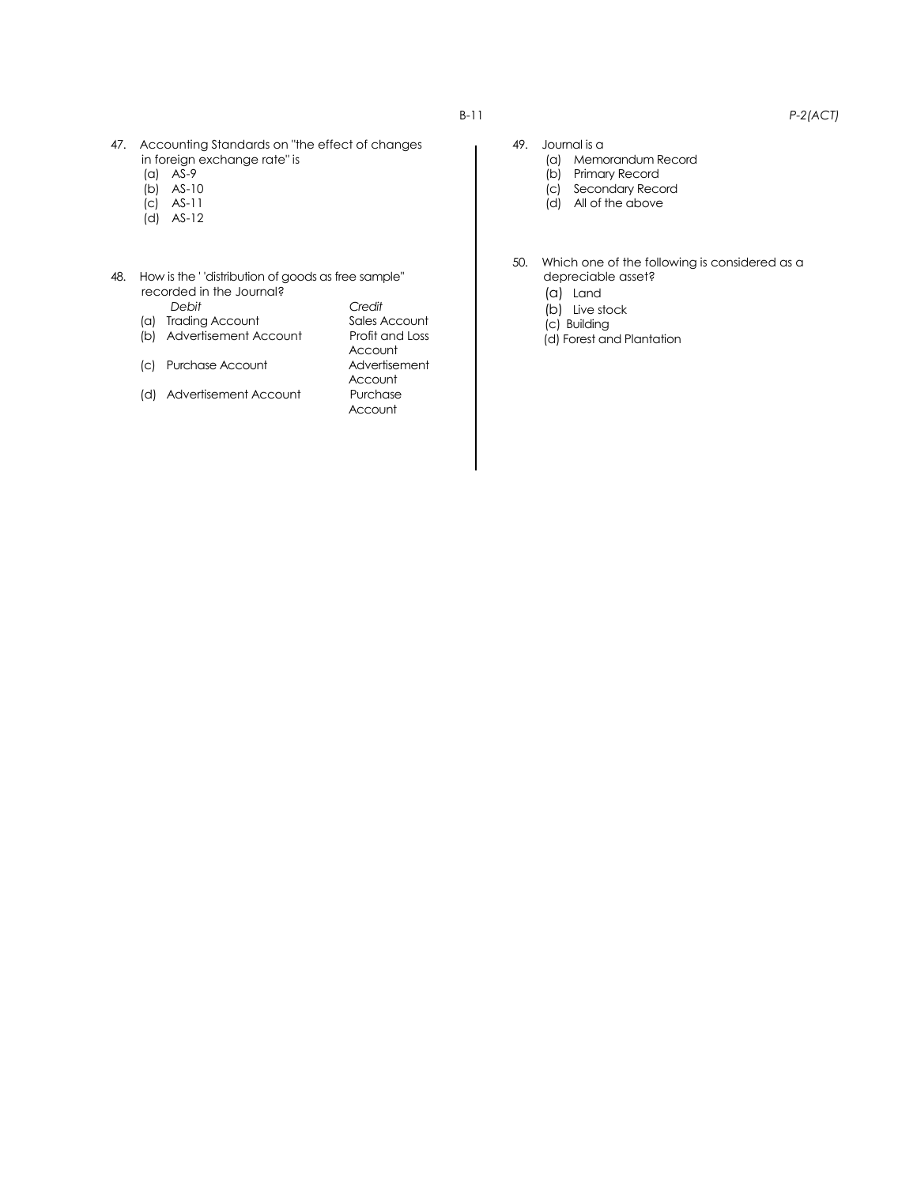- 47. Accounting Standards on "the effect of changes in foreign exchange rate" is
	- (a) AS-9
	- (b) AS-10
	- (c) AS-11
	- (d) AS-12

#### 48. How is the ' 'distribution of goods as free sample'' recorded in the Journal?

- 
- (a) Trading Account
- (b) Advertisement Account Profit and Loss
- (c) Purchase Account
- (d) Advertisement Account Purchase
- *Debit Credit* Account<br>Advertisement Account Account
- 
- 49. Journal is a (a) Memorandum Record
	- (b) Primary Record
	- (c) Secondary Record
	- (d) All of the above
- 50. Which one of the following is considered as a depreciable asset?
	- (a) Land
	- (b) Live stock
	- (c) Building
	- (d) Forest and Plantation